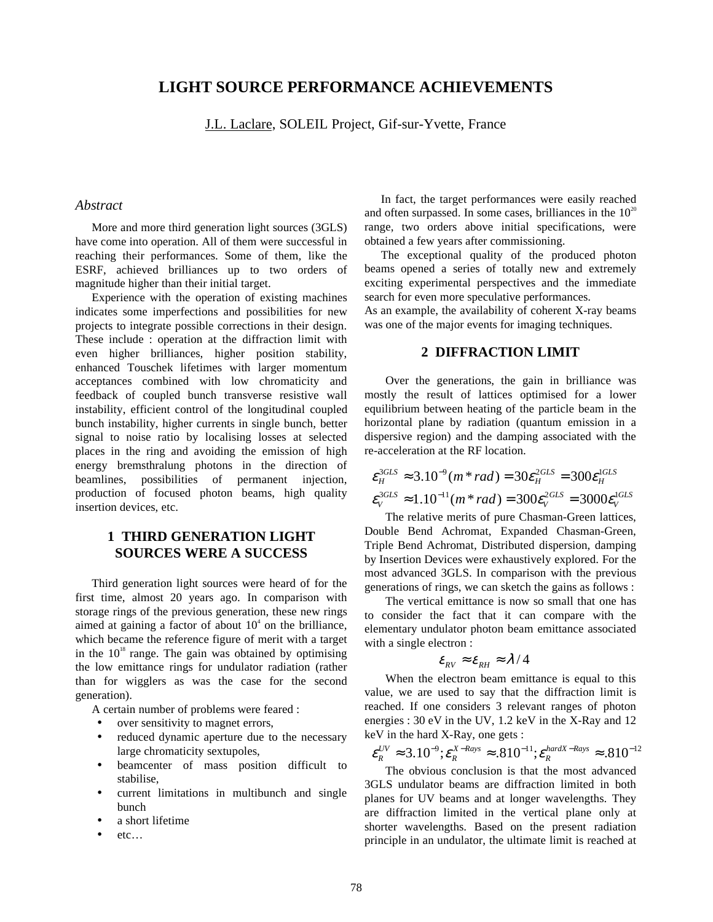## **LIGHT SOURCE PERFORMANCE ACHIEVEMENTS**

J.L. Laclare, SOLEIL Project, Gif-sur-Yvette, France

#### *Abstract*

More and more third generation light sources (3GLS) have come into operation. All of them were successful in reaching their performances. Some of them, like the ESRF, achieved brilliances up to two orders of magnitude higher than their initial target.

Experience with the operation of existing machines indicates some imperfections and possibilities for new projects to integrate possible corrections in their design. These include : operation at the diffraction limit with even higher brilliances, higher position stability, enhanced Touschek lifetimes with larger momentum acceptances combined with low chromaticity and feedback of coupled bunch transverse resistive wall instability, efficient control of the longitudinal coupled bunch instability, higher currents in single bunch, better signal to noise ratio by localising losses at selected places in the ring and avoiding the emission of high energy bremsthralung photons in the direction of beamlines, possibilities of permanent injection, production of focused photon beams, high quality insertion devices, etc.

# **1 THIRD GENERATION LIGHT SOURCES WERE A SUCCESS**

Third generation light sources were heard of for the first time, almost 20 years ago. In comparison with storage rings of the previous generation, these new rings aimed at gaining a factor of about  $10<sup>4</sup>$  on the brilliance, which became the reference figure of merit with a target in the  $10^{18}$  range. The gain was obtained by optimising the low emittance rings for undulator radiation (rather than for wigglers as was the case for the second generation).

A certain number of problems were feared :

- over sensitivity to magnet errors,
- reduced dynamic aperture due to the necessary large chromaticity sextupoles,
- beamcenter of mass position difficult to stabilise,
- current limitations in multibunch and single bunch
- a short lifetime
- etc…

In fact, the target performances were easily reached and often surpassed. In some cases, brilliances in the  $10^{20}$ range, two orders above initial specifications, were obtained a few years after commissioning.

The exceptional quality of the produced photon beams opened a series of totally new and extremely exciting experimental perspectives and the immediate search for even more speculative performances.

As an example, the availability of coherent X-ray beams was one of the major events for imaging techniques.

### **2 DIFFRACTION LIMIT**

Over the generations, the gain in brilliance was mostly the result of lattices optimised for a lower equilibrium between heating of the particle beam in the horizontal plane by radiation (quantum emission in a dispersive region) and the damping associated with the re-acceleration at the RF location.

$$
\varepsilon_H^{3GLS} \approx 3.10^{-9} (m \ast rad) = 30 \varepsilon_H^{2GLS} = 300 \varepsilon_H^{1GLS}
$$
  

$$
\varepsilon_V^{3GLS} \approx 1.10^{-11} (m \ast rad) = 300 \varepsilon_V^{2GLS} = 3000 \varepsilon_V^{1GLS}
$$

The relative merits of pure Chasman-Green lattices, Double Bend Achromat, Expanded Chasman-Green, Triple Bend Achromat, Distributed dispersion, damping by Insertion Devices were exhaustively explored. For the most advanced 3GLS. In comparison with the previous generations of rings, we can sketch the gains as follows :

The vertical emittance is now so small that one has to consider the fact that it can compare with the elementary undulator photon beam emittance associated with a single electron :

$$
\varepsilon_{_{RV}} \approx \varepsilon_{_{RH}} \approx \lambda/4
$$

When the electron beam emittance is equal to this value, we are used to say that the diffraction limit is reached. If one considers 3 relevant ranges of photon energies : 30 eV in the UV, 1.2 keV in the X-Ray and 12 keV in the hard X-Ray, one gets :

$$
\varepsilon_R^{UV} \approx 3.10^{-9}; \varepsilon_R^{X-Rays} \approx .810^{-11}; \varepsilon_R^{hardX-Rays} \approx .810^{-12}
$$

The obvious conclusion is that the most advanced 3GLS undulator beams are diffraction limited in both planes for UV beams and at longer wavelengths. They are diffraction limited in the vertical plane only at shorter wavelengths. Based on the present radiation principle in an undulator, the ultimate limit is reached at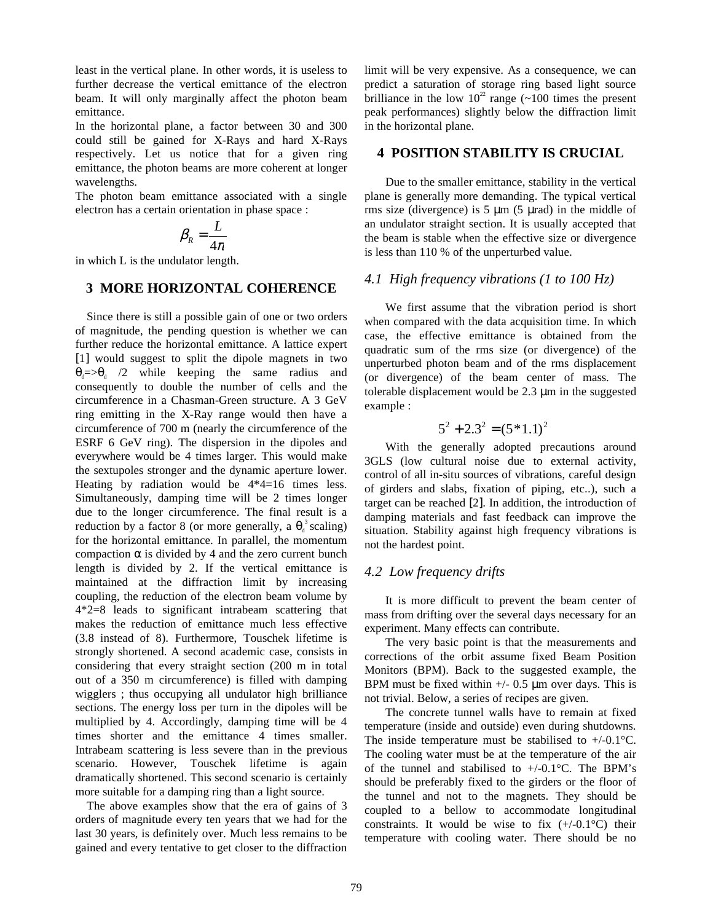least in the vertical plane. In other words, it is useless to further decrease the vertical emittance of the electron beam. It will only marginally affect the photon beam emittance.

In the horizontal plane, a factor between 30 and 300 could still be gained for X-Rays and hard X-Rays respectively. Let us notice that for a given ring emittance, the photon beams are more coherent at longer wavelengths.

The photon beam emittance associated with a single electron has a certain orientation in phase space :

$$
\beta_R = \frac{L}{4\pi}
$$

in which L is the undulator length.

## **3 MORE HORIZONTAL COHERENCE**

Since there is still a possible gain of one or two orders of magnitude, the pending question is whether we can further reduce the horizontal emittance. A lattice expert [1] would suggest to split the dipole magnets in two  $\theta_d = \theta_d$  /2 while keeping the same radius and consequently to double the number of cells and the circumference in a Chasman-Green structure. A 3 GeV ring emitting in the X-Ray range would then have a circumference of 700 m (nearly the circumference of the ESRF 6 GeV ring). The dispersion in the dipoles and everywhere would be 4 times larger. This would make the sextupoles stronger and the dynamic aperture lower. Heating by radiation would be 4\*4=16 times less. Simultaneously, damping time will be 2 times longer due to the longer circumference. The final result is a reduction by a factor 8 (or more generally, a  $\theta_d^3$  scaling) for the horizontal emittance. In parallel, the momentum compaction  $\alpha$  is divided by 4 and the zero current bunch length is divided by 2. If the vertical emittance is maintained at the diffraction limit by increasing coupling, the reduction of the electron beam volume by 4\*2=8 leads to significant intrabeam scattering that makes the reduction of emittance much less effective (3.8 instead of 8). Furthermore, Touschek lifetime is strongly shortened. A second academic case, consists in considering that every straight section (200 m in total out of a 350 m circumference) is filled with damping wigglers ; thus occupying all undulator high brilliance sections. The energy loss per turn in the dipoles will be multiplied by 4. Accordingly, damping time will be 4 times shorter and the emittance 4 times smaller. Intrabeam scattering is less severe than in the previous scenario. However, Touschek lifetime is again dramatically shortened. This second scenario is certainly more suitable for a damping ring than a light source.

The above examples show that the era of gains of 3 orders of magnitude every ten years that we had for the last 30 years, is definitely over. Much less remains to be gained and every tentative to get closer to the diffraction limit will be very expensive. As a consequence, we can predict a saturation of storage ring based light source brilliance in the low  $10^{22}$  range (~100 times the present peak performances) slightly below the diffraction limit in the horizontal plane.

### **4 POSITION STABILITY IS CRUCIAL**

Due to the smaller emittance, stability in the vertical plane is generally more demanding. The typical vertical rms size (divergence) is  $5 \mu m$  (5  $\mu rad$ ) in the middle of an undulator straight section. It is usually accepted that the beam is stable when the effective size or divergence is less than 110 % of the unperturbed value.

#### *4.1 High frequency vibrations (1 to 100 Hz)*

We first assume that the vibration period is short when compared with the data acquisition time. In which case, the effective emittance is obtained from the quadratic sum of the rms size (or divergence) of the unperturbed photon beam and of the rms displacement (or divergence) of the beam center of mass. The tolerable displacement would be 2.3 µm in the suggested example :

$$
5^2 + 2.3^2 = (5 * 1.1)^2
$$

With the generally adopted precautions around 3GLS (low cultural noise due to external activity, control of all in-situ sources of vibrations, careful design of girders and slabs, fixation of piping, etc..), such a target can be reached [2]. In addition, the introduction of damping materials and fast feedback can improve the situation. Stability against high frequency vibrations is not the hardest point.

#### *4.2 Low frequency drifts*

It is more difficult to prevent the beam center of mass from drifting over the several days necessary for an experiment. Many effects can contribute.

The very basic point is that the measurements and corrections of the orbit assume fixed Beam Position Monitors (BPM). Back to the suggested example, the BPM must be fixed within  $+/- 0.5 \mu m$  over days. This is not trivial. Below, a series of recipes are given.

The concrete tunnel walls have to remain at fixed temperature (inside and outside) even during shutdowns. The inside temperature must be stabilised to  $+/-0.1\degree$ C. The cooling water must be at the temperature of the air of the tunnel and stabilised to  $+/0.1^{\circ}$ C. The BPM's should be preferably fixed to the girders or the floor of the tunnel and not to the magnets. They should be coupled to a bellow to accommodate longitudinal constraints. It would be wise to fix  $(+/-0.1^{\circ}C)$  their temperature with cooling water. There should be no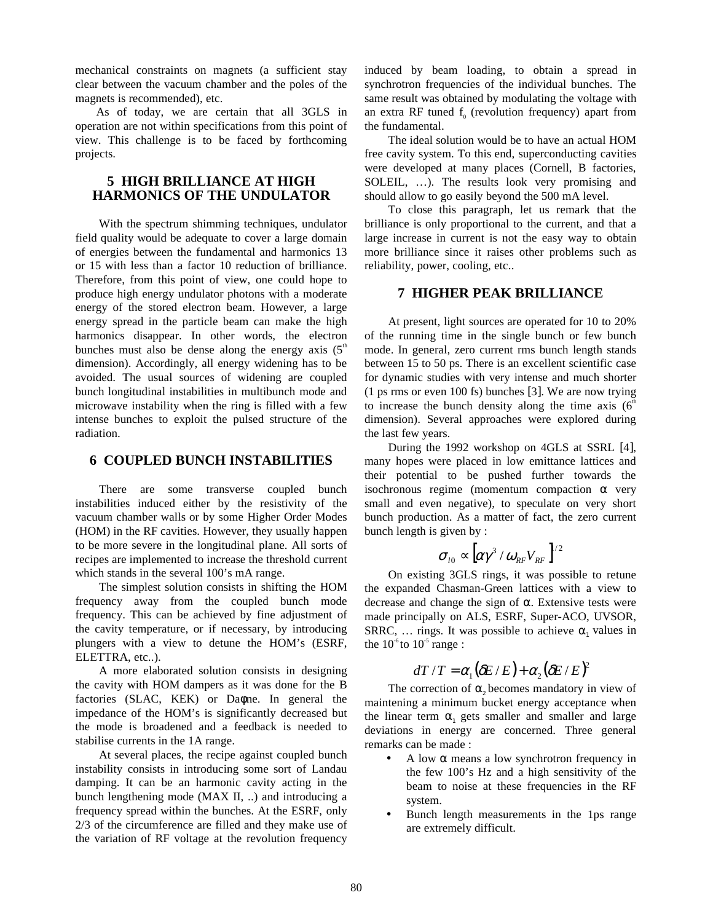mechanical constraints on magnets (a sufficient stay clear between the vacuum chamber and the poles of the magnets is recommended), etc.

As of today, we are certain that all 3GLS in operation are not within specifications from this point of view. This challenge is to be faced by forthcoming projects.

## **5 HIGH BRILLIANCE AT HIGH HARMONICS OF THE UNDULATOR**

With the spectrum shimming techniques, undulator field quality would be adequate to cover a large domain of energies between the fundamental and harmonics 13 or 15 with less than a factor 10 reduction of brilliance. Therefore, from this point of view, one could hope to produce high energy undulator photons with a moderate energy of the stored electron beam. However, a large energy spread in the particle beam can make the high harmonics disappear. In other words, the electron bunches must also be dense along the energy axis  $(5^{\circ})$ dimension). Accordingly, all energy widening has to be avoided. The usual sources of widening are coupled bunch longitudinal instabilities in multibunch mode and microwave instability when the ring is filled with a few intense bunches to exploit the pulsed structure of the radiation.

## **6 COUPLED BUNCH INSTABILITIES**

There are some transverse coupled bunch instabilities induced either by the resistivity of the vacuum chamber walls or by some Higher Order Modes (HOM) in the RF cavities. However, they usually happen to be more severe in the longitudinal plane. All sorts of recipes are implemented to increase the threshold current which stands in the several 100's mA range.

The simplest solution consists in shifting the HOM frequency away from the coupled bunch mode frequency. This can be achieved by fine adjustment of the cavity temperature, or if necessary, by introducing plungers with a view to detune the HOM's (ESRF, ELETTRA, etc..).

A more elaborated solution consists in designing the cavity with HOM dampers as it was done for the B factories (SLAC, KEK) or Daφne. In general the impedance of the HOM's is significantly decreased but the mode is broadened and a feedback is needed to stabilise currents in the 1A range.

At several places, the recipe against coupled bunch instability consists in introducing some sort of Landau damping. It can be an harmonic cavity acting in the bunch lengthening mode (MAX II, ..) and introducing a frequency spread within the bunches. At the ESRF, only 2/3 of the circumference are filled and they make use of the variation of RF voltage at the revolution frequency

induced by beam loading, to obtain a spread in synchrotron frequencies of the individual bunches. The same result was obtained by modulating the voltage with an extra RF tuned  $f<sub>o</sub>$  (revolution frequency) apart from the fundamental.

The ideal solution would be to have an actual HOM free cavity system. To this end, superconducting cavities were developed at many places (Cornell, B factories, SOLEIL, …). The results look very promising and should allow to go easily beyond the 500 mA level.

To close this paragraph, let us remark that the brilliance is only proportional to the current, and that a large increase in current is not the easy way to obtain more brilliance since it raises other problems such as reliability, power, cooling, etc..

#### **7 HIGHER PEAK BRILLIANCE**

At present, light sources are operated for 10 to 20% of the running time in the single bunch or few bunch mode. In general, zero current rms bunch length stands between 15 to 50 ps. There is an excellent scientific case for dynamic studies with very intense and much shorter (1 ps rms or even 100 fs) bunches [3]. We are now trying to increase the bunch density along the time axis  $(6<sup>th</sup>$ dimension). Several approaches were explored during the last few years.

During the 1992 workshop on 4GLS at SSRL [4], many hopes were placed in low emittance lattices and their potential to be pushed further towards the isochronous regime (momentum compaction  $\alpha$  very small and even negative), to speculate on very short bunch production. As a matter of fact, the zero current bunch length is given by :

$$
\sigma_{_{l0}}\propto [\alpha\gamma^3\,/\,\omega_{_{RF}} V_{_{RF}}\,]^{_{\prime\,2}}
$$

On existing 3GLS rings, it was possible to retune the expanded Chasman-Green lattices with a view to decrease and change the sign of  $\alpha$ . Extensive tests were made principally on ALS, ESRF, Super-ACO, UVSOR, SRRC, ... rings. It was possible to achieve  $\alpha_1$  values in the  $10^{\circ}$ to  $10^{\circ}$  range :

# $dT/T = \alpha_1 (\delta E / E) + \alpha_2 (\delta E / E)^2$

The correction of  $\alpha$ , becomes mandatory in view of maintening a minimum bucket energy acceptance when the linear term  $\alpha_1$  gets smaller and smaller and large deviations in energy are concerned. Three general remarks can be made :

- A low  $α$  means a low synchrotron frequency in the few 100's Hz and a high sensitivity of the beam to noise at these frequencies in the RF system.
- Bunch length measurements in the 1ps range are extremely difficult.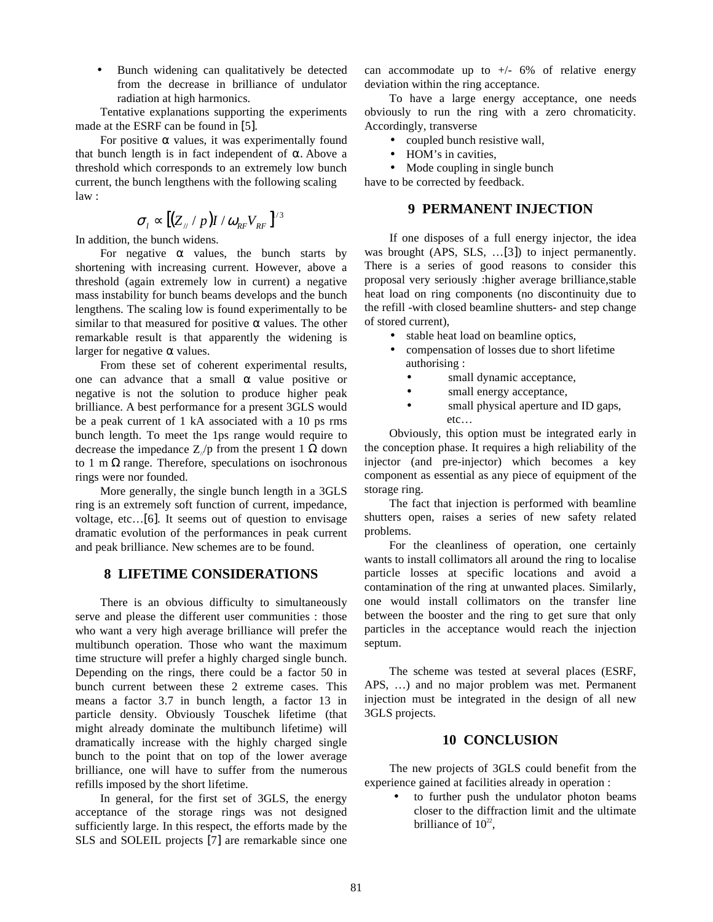• Bunch widening can qualitatively be detected from the decrease in brilliance of undulator radiation at high harmonics.

Tentative explanations supporting the experiments made at the ESRF can be found in [5].

For positive  $\alpha$  values, it was experimentally found that bunch length is in fact independent of  $α$ . Above a threshold which corresponds to an extremely low bunch current, the bunch lengthens with the following scaling law :

$$
\sigma_{l} \propto [(Z_{//}/p)I/\omega_{RF}V_{RF}]^{1/3}
$$

In addition, the bunch widens.

For negative  $\alpha$  values, the bunch starts by shortening with increasing current. However, above a threshold (again extremely low in current) a negative mass instability for bunch beams develops and the bunch lengthens. The scaling low is found experimentally to be similar to that measured for positive  $\alpha$  values. The other remarkable result is that apparently the widening is larger for negative  $\alpha$  values.

From these set of coherent experimental results, one can advance that a small  $\alpha$  value positive or negative is not the solution to produce higher peak brilliance. A best performance for a present 3GLS would be a peak current of 1 kA associated with a 10 ps rms bunch length. To meet the 1ps range would require to decrease the impedance  $Z/p$  from the present 1  $\Omega$  down to 1 m  $\Omega$  range. Therefore, speculations on isochronous rings were nor founded.

More generally, the single bunch length in a 3GLS ring is an extremely soft function of current, impedance, voltage, etc…[6]. It seems out of question to envisage dramatic evolution of the performances in peak current and peak brilliance. New schemes are to be found.

## **8 LIFETIME CONSIDERATIONS**

There is an obvious difficulty to simultaneously serve and please the different user communities : those who want a very high average brilliance will prefer the multibunch operation. Those who want the maximum time structure will prefer a highly charged single bunch. Depending on the rings, there could be a factor 50 in bunch current between these 2 extreme cases. This means a factor 3.7 in bunch length, a factor 13 in particle density. Obviously Touschek lifetime (that might already dominate the multibunch lifetime) will dramatically increase with the highly charged single bunch to the point that on top of the lower average brilliance, one will have to suffer from the numerous refills imposed by the short lifetime.

In general, for the first set of 3GLS, the energy acceptance of the storage rings was not designed sufficiently large. In this respect, the efforts made by the SLS and SOLEIL projects [7] are remarkable since one

can accommodate up to  $+/-$  6% of relative energy deviation within the ring acceptance.

To have a large energy acceptance, one needs obviously to run the ring with a zero chromaticity. Accordingly, transverse

- coupled bunch resistive wall,
- HOM's in cavities,
- Mode coupling in single bunch

have to be corrected by feedback.

#### **9 PERMANENT INJECTION**

If one disposes of a full energy injector, the idea was brought (APS, SLS, …[3]) to inject permanently. There is a series of good reasons to consider this proposal very seriously :higher average brilliance,stable heat load on ring components (no discontinuity due to the refill -with closed beamline shutters- and step change of stored current),

- stable heat load on beamline optics,
- compensation of losses due to short lifetime authorising :
	- small dynamic acceptance,
	- small energy acceptance,
	- small physical aperture and ID gaps, etc…

Obviously, this option must be integrated early in the conception phase. It requires a high reliability of the injector (and pre-injector) which becomes a key component as essential as any piece of equipment of the storage ring.

The fact that injection is performed with beamline shutters open, raises a series of new safety related problems.

For the cleanliness of operation, one certainly wants to install collimators all around the ring to localise particle losses at specific locations and avoid a contamination of the ring at unwanted places. Similarly, one would install collimators on the transfer line between the booster and the ring to get sure that only particles in the acceptance would reach the injection septum.

The scheme was tested at several places (ESRF, APS, …) and no major problem was met. Permanent injection must be integrated in the design of all new 3GLS projects.

#### **10 CONCLUSION**

The new projects of 3GLS could benefit from the experience gained at facilities already in operation :

to further push the undulator photon beams closer to the diffraction limit and the ultimate brilliance of  $10^{22}$ ,